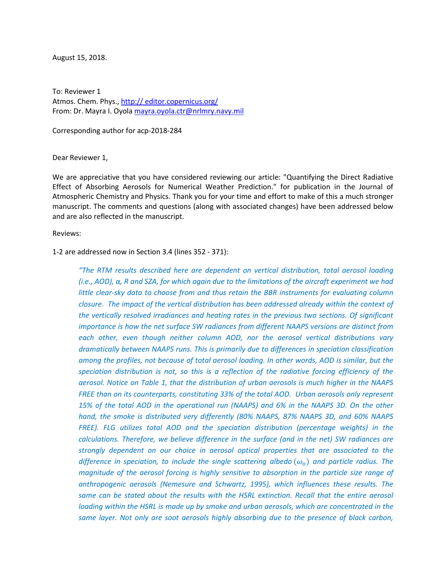August 15, 2018.

To: Reviewer 1 Atmos. Chem. Phys., http:// editor.copernicus.org/ From: Dr. Mayra I. Oyola [mayra.oyola.ctr@nrlmry.navy.mil](mailto:mayra.oyola.ctr@nrlmry.navy.mil)

Corresponding author for acp-2018-284

Dear Reviewer 1,

We are appreciative that you have considered reviewing our article: "Quantifying the Direct Radiative Effect of Absorbing Aerosols for Numerical Weather Prediction." for publication in the Journal of Atmospheric Chemistry and Physics. Thank you for your time and effort to make of this a much stronger manuscript. The comments and questions (along with associated changes) have been addressed below and are also reflected in the manuscript.

Reviews:

## 1-2 are addressed now in Section 3.4 (lines 352 - 371):

*"The RTM results described here are dependent on vertical distribution, total aerosol loading (i.e., AOD), α, R and SZA, for which again due to the limitations of the aircraft experiment we had little clear-sky data to choose from and thus retain the BBR instruments for evaluating column closure. The impact of the vertical distribution has been addressed already within the context of the vertically resolved irradiances and heating rates in the previous two sections. Of significant importance is how the net surface SW radiances from different NAAPS versions are distinct from each other, even though neither column AOD, nor the aerosol vertical distributions vary dramatically between NAAPS runs. This is primarily due to differences in speciation classification*  among the profiles, not because of total aerosol loading. In other words, AOD is similar, but the *speciation distribution is not, so this is a reflection of the radiative forcing efficiency of the aerosol. Notice on Table 1, that the distribution of urban aerosols is much higher in the NAAPS FREE than on its counterparts, constituting 33% of the total AOD. Urban aerosols only represent 15% of the total AOD in the operational run (NAAPS) and 6% in the NAAPS 3D. On the other hand, the smoke is distributed very differently (80% NAAPS, 87% NAAPS 3D, and 60% NAAPS FREE). FLG utilizes total AOD and the speciation distribution (percentage weights) in the calculations. Therefore, we believe difference in the surface (and in the net) SW radiances are strongly dependent on our choice in aerosol optical properties that are associated to the difference in speciation, to include the single scattering albedo*  $(\omega_o)$  *and particle radius. The magnitude of the aerosol forcing is highly sensitive to absorption in the particle size range of anthropogenic aerosols (Nemesure and Schwartz, 1995), which influences these results. The same can be stated about the results with the HSRL extinction. Recall that the entire aerosol loading within the HSRL is made up by smoke and urban aerosols, which are concentrated in the same layer. Not only are soot aerosols highly absorbing due to the presence of black carbon,*